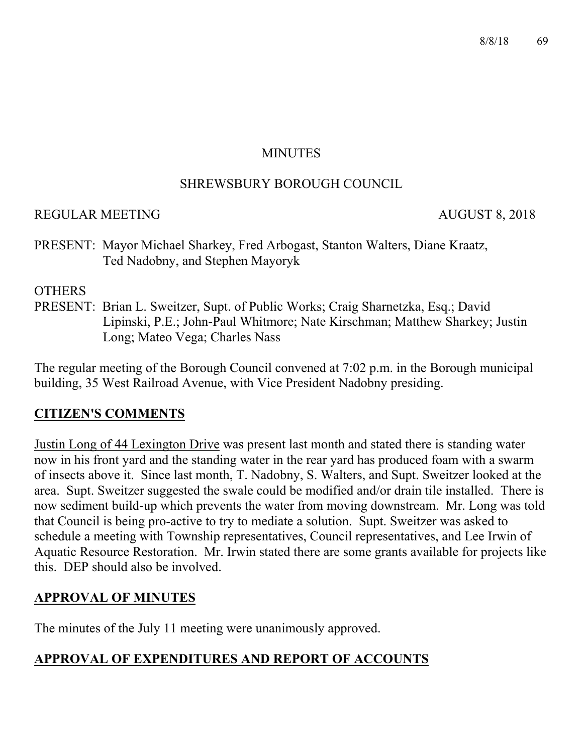#### **MINUTES**

#### SHREWSBURY BOROUGH COUNCIL

#### REGULAR MEETING AUGUST 8, 2018

PRESENT: Mayor Michael Sharkey, Fred Arbogast, Stanton Walters, Diane Kraatz, Ted Nadobny, and Stephen Mayoryk

#### **OTHERS**

PRESENT: Brian L. Sweitzer, Supt. of Public Works; Craig Sharnetzka, Esq.; David Lipinski, P.E.; John-Paul Whitmore; Nate Kirschman; Matthew Sharkey; Justin Long; Mateo Vega; Charles Nass

The regular meeting of the Borough Council convened at 7:02 p.m. in the Borough municipal building, 35 West Railroad Avenue, with Vice President Nadobny presiding.

#### **CITIZEN'S COMMENTS**

Justin Long of 44 Lexington Drive was present last month and stated there is standing water now in his front yard and the standing water in the rear yard has produced foam with a swarm of insects above it. Since last month, T. Nadobny, S. Walters, and Supt. Sweitzer looked at the area. Supt. Sweitzer suggested the swale could be modified and/or drain tile installed. There is now sediment build-up which prevents the water from moving downstream. Mr. Long was told that Council is being pro-active to try to mediate a solution. Supt. Sweitzer was asked to schedule a meeting with Township representatives, Council representatives, and Lee Irwin of Aquatic Resource Restoration. Mr. Irwin stated there are some grants available for projects like this. DEP should also be involved.

## **APPROVAL OF MINUTES**

The minutes of the July 11 meeting were unanimously approved.

## **APPROVAL OF EXPENDITURES AND REPORT OF ACCOUNTS**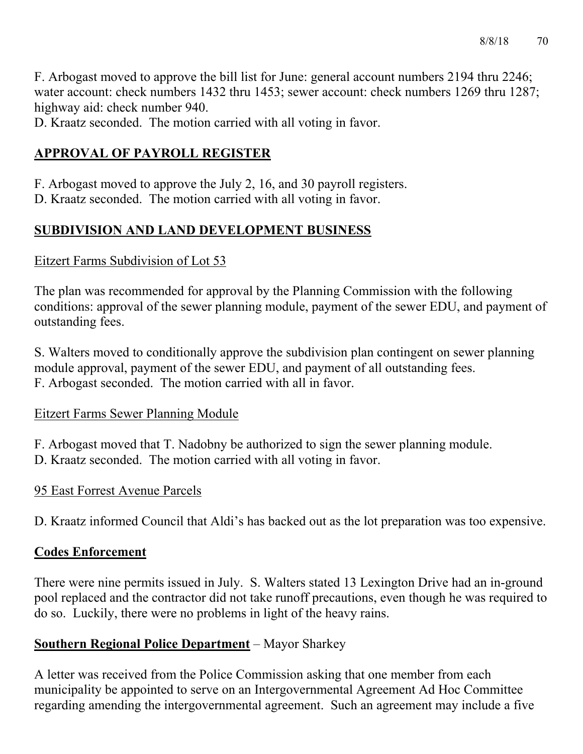F. Arbogast moved to approve the bill list for June: general account numbers 2194 thru 2246; water account: check numbers 1432 thru 1453; sewer account: check numbers 1269 thru 1287; highway aid: check number 940.

D. Kraatz seconded. The motion carried with all voting in favor.

# **APPROVAL OF PAYROLL REGISTER**

F. Arbogast moved to approve the July 2, 16, and 30 payroll registers.

D. Kraatz seconded. The motion carried with all voting in favor.

# **SUBDIVISION AND LAND DEVELOPMENT BUSINESS**

## Eitzert Farms Subdivision of Lot 53

The plan was recommended for approval by the Planning Commission with the following conditions: approval of the sewer planning module, payment of the sewer EDU, and payment of outstanding fees.

S. Walters moved to conditionally approve the subdivision plan contingent on sewer planning module approval, payment of the sewer EDU, and payment of all outstanding fees. F. Arbogast seconded. The motion carried with all in favor.

## Eitzert Farms Sewer Planning Module

F. Arbogast moved that T. Nadobny be authorized to sign the sewer planning module. D. Kraatz seconded. The motion carried with all voting in favor.

## 95 East Forrest Avenue Parcels

D. Kraatz informed Council that Aldi's has backed out as the lot preparation was too expensive.

## **Codes Enforcement**

There were nine permits issued in July. S. Walters stated 13 Lexington Drive had an in-ground pool replaced and the contractor did not take runoff precautions, even though he was required to do so. Luckily, there were no problems in light of the heavy rains.

## **Southern Regional Police Department** – Mayor Sharkey

A letter was received from the Police Commission asking that one member from each municipality be appointed to serve on an Intergovernmental Agreement Ad Hoc Committee regarding amending the intergovernmental agreement. Such an agreement may include a five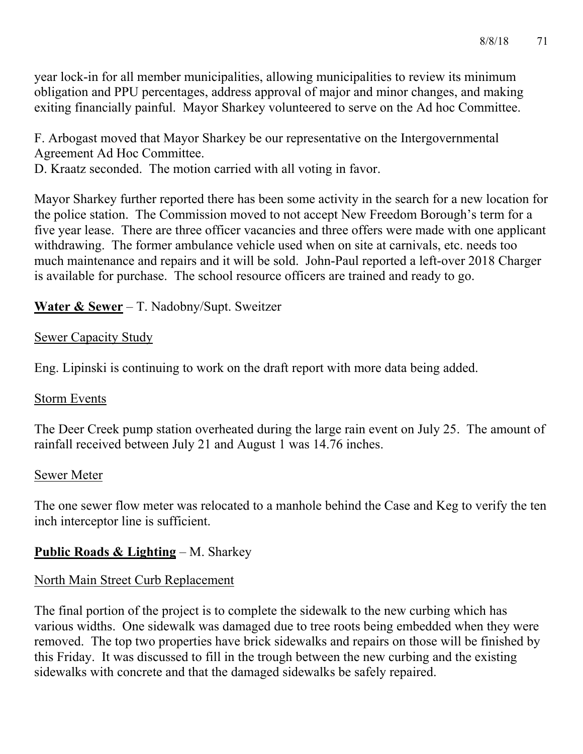year lock-in for all member municipalities, allowing municipalities to review its minimum obligation and PPU percentages, address approval of major and minor changes, and making exiting financially painful. Mayor Sharkey volunteered to serve on the Ad hoc Committee.

F. Arbogast moved that Mayor Sharkey be our representative on the Intergovernmental Agreement Ad Hoc Committee.

D. Kraatz seconded. The motion carried with all voting in favor.

Mayor Sharkey further reported there has been some activity in the search for a new location for the police station. The Commission moved to not accept New Freedom Borough's term for a five year lease. There are three officer vacancies and three offers were made with one applicant withdrawing. The former ambulance vehicle used when on site at carnivals, etc. needs too much maintenance and repairs and it will be sold. John-Paul reported a left-over 2018 Charger is available for purchase. The school resource officers are trained and ready to go.

## **Water & Sewer** – T. Nadobny/Supt. Sweitzer

### Sewer Capacity Study

Eng. Lipinski is continuing to work on the draft report with more data being added.

#### Storm Events

The Deer Creek pump station overheated during the large rain event on July 25. The amount of rainfall received between July 21 and August 1 was 14.76 inches.

## Sewer Meter

The one sewer flow meter was relocated to a manhole behind the Case and Keg to verify the ten inch interceptor line is sufficient.

## **Public Roads & Lighting** – M. Sharkey

## North Main Street Curb Replacement

The final portion of the project is to complete the sidewalk to the new curbing which has various widths. One sidewalk was damaged due to tree roots being embedded when they were removed. The top two properties have brick sidewalks and repairs on those will be finished by this Friday. It was discussed to fill in the trough between the new curbing and the existing sidewalks with concrete and that the damaged sidewalks be safely repaired.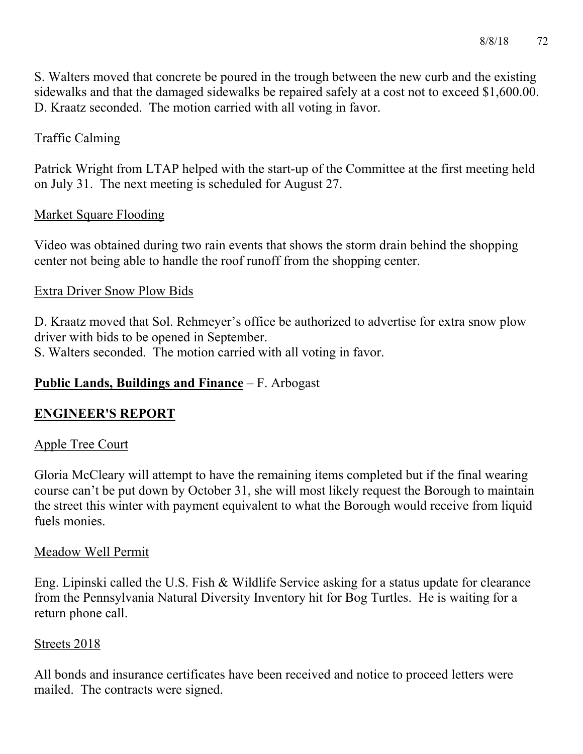S. Walters moved that concrete be poured in the trough between the new curb and the existing sidewalks and that the damaged sidewalks be repaired safely at a cost not to exceed \$1,600.00. D. Kraatz seconded. The motion carried with all voting in favor.

## Traffic Calming

Patrick Wright from LTAP helped with the start-up of the Committee at the first meeting held on July 31. The next meeting is scheduled for August 27.

## Market Square Flooding

Video was obtained during two rain events that shows the storm drain behind the shopping center not being able to handle the roof runoff from the shopping center.

#### Extra Driver Snow Plow Bids

D. Kraatz moved that Sol. Rehmeyer's office be authorized to advertise for extra snow plow driver with bids to be opened in September.

S. Walters seconded. The motion carried with all voting in favor.

## **Public Lands, Buildings and Finance** – F. Arbogast

#### **ENGINEER'S REPORT**

#### Apple Tree Court

Gloria McCleary will attempt to have the remaining items completed but if the final wearing course can't be put down by October 31, she will most likely request the Borough to maintain the street this winter with payment equivalent to what the Borough would receive from liquid fuels monies.

#### Meadow Well Permit

Eng. Lipinski called the U.S. Fish & Wildlife Service asking for a status update for clearance from the Pennsylvania Natural Diversity Inventory hit for Bog Turtles. He is waiting for a return phone call.

#### Streets 2018

All bonds and insurance certificates have been received and notice to proceed letters were mailed. The contracts were signed.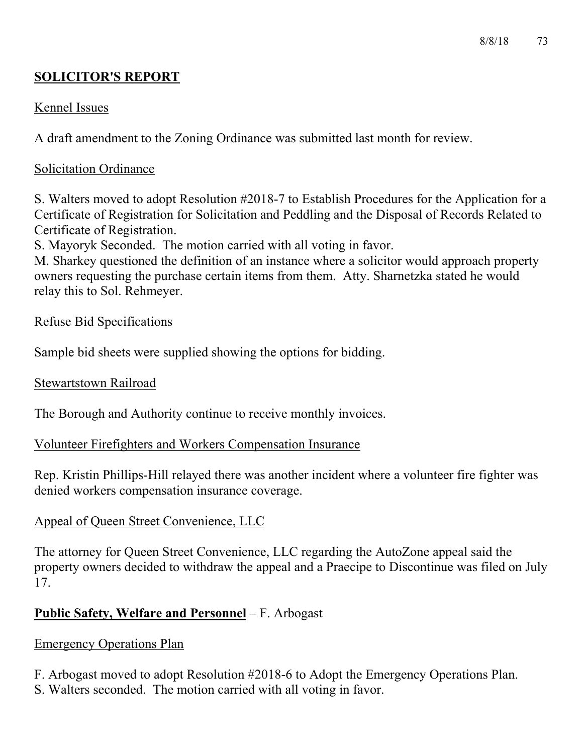## **SOLICITOR'S REPORT**

## Kennel Issues

A draft amendment to the Zoning Ordinance was submitted last month for review.

### Solicitation Ordinance

S. Walters moved to adopt Resolution #2018-7 to Establish Procedures for the Application for a Certificate of Registration for Solicitation and Peddling and the Disposal of Records Related to Certificate of Registration.

S. Mayoryk Seconded. The motion carried with all voting in favor.

M. Sharkey questioned the definition of an instance where a solicitor would approach property owners requesting the purchase certain items from them. Atty. Sharnetzka stated he would relay this to Sol. Rehmeyer.

### Refuse Bid Specifications

Sample bid sheets were supplied showing the options for bidding.

#### Stewartstown Railroad

The Borough and Authority continue to receive monthly invoices.

#### Volunteer Firefighters and Workers Compensation Insurance

Rep. Kristin Phillips-Hill relayed there was another incident where a volunteer fire fighter was denied workers compensation insurance coverage.

## Appeal of Queen Street Convenience, LLC

The attorney for Queen Street Convenience, LLC regarding the AutoZone appeal said the property owners decided to withdraw the appeal and a Praecipe to Discontinue was filed on July 17.

## **Public Safety, Welfare and Personnel** – F. Arbogast

## Emergency Operations Plan

F. Arbogast moved to adopt Resolution #2018-6 to Adopt the Emergency Operations Plan. S. Walters seconded. The motion carried with all voting in favor.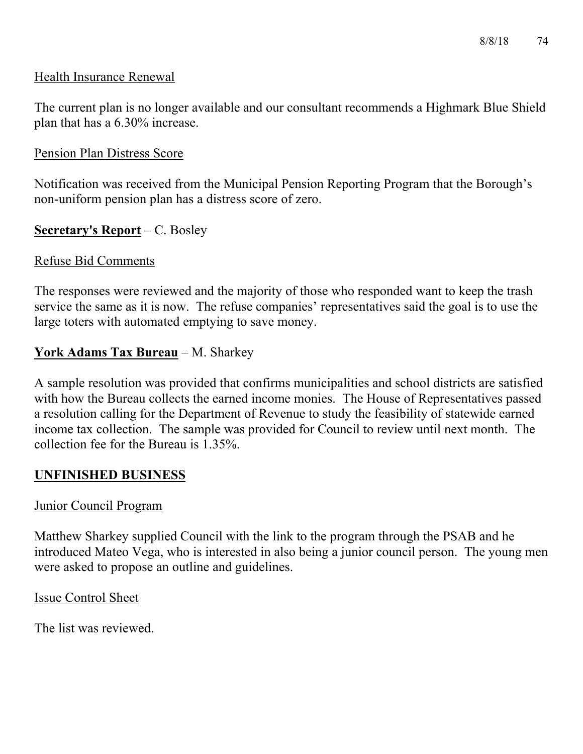#### Health Insurance Renewal

The current plan is no longer available and our consultant recommends a Highmark Blue Shield plan that has a 6.30% increase.

#### Pension Plan Distress Score

Notification was received from the Municipal Pension Reporting Program that the Borough's non-uniform pension plan has a distress score of zero.

#### **Secretary's Report** – C. Bosley

#### Refuse Bid Comments

The responses were reviewed and the majority of those who responded want to keep the trash service the same as it is now. The refuse companies' representatives said the goal is to use the large toters with automated emptying to save money.

### **York Adams Tax Bureau** – M. Sharkey

A sample resolution was provided that confirms municipalities and school districts are satisfied with how the Bureau collects the earned income monies. The House of Representatives passed a resolution calling for the Department of Revenue to study the feasibility of statewide earned income tax collection. The sample was provided for Council to review until next month. The collection fee for the Bureau is 1.35%.

#### **UNFINISHED BUSINESS**

#### Junior Council Program

Matthew Sharkey supplied Council with the link to the program through the PSAB and he introduced Mateo Vega, who is interested in also being a junior council person. The young men were asked to propose an outline and guidelines.

Issue Control Sheet

The list was reviewed.